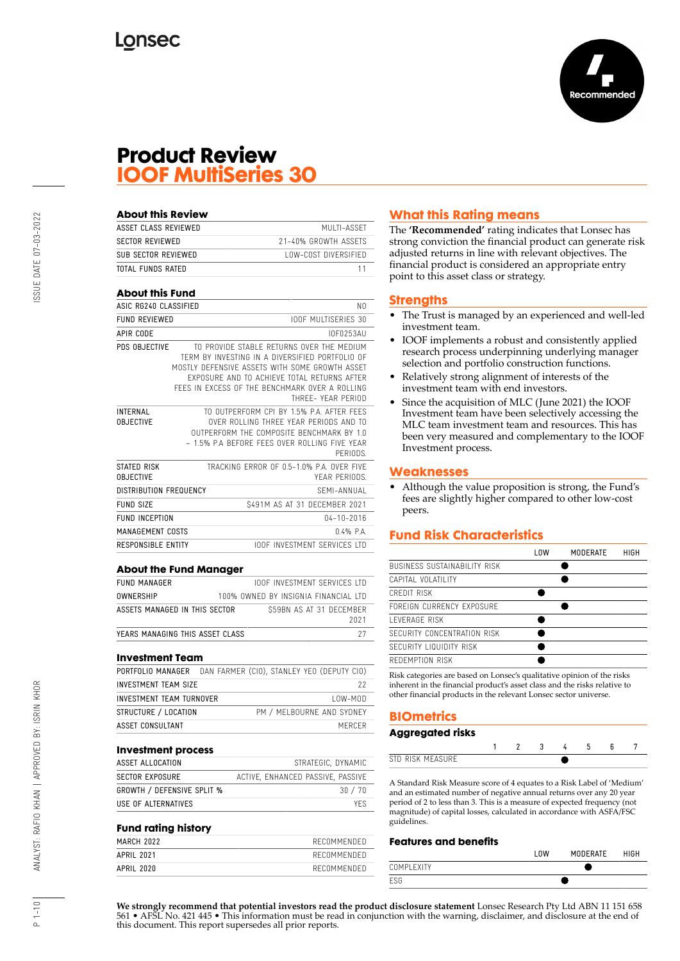

## **Product Review IOOF MultiSeries 30**

| <b>About this Review</b>               |                           |                                                                                                                                                                                                                                                                       |
|----------------------------------------|---------------------------|-----------------------------------------------------------------------------------------------------------------------------------------------------------------------------------------------------------------------------------------------------------------------|
| ASSET CLASS REVIEWED                   |                           | MUITI-ASSFT                                                                                                                                                                                                                                                           |
| <b>SECTOR REVIEWED</b>                 |                           | 21-40% GROWTH ASSFTS                                                                                                                                                                                                                                                  |
| SUB SECTOR REVIEWED                    |                           | <b>LOW-COST DIVERSIFIED</b>                                                                                                                                                                                                                                           |
| <b>TOTAL FUNDS RATED</b>               |                           | 11                                                                                                                                                                                                                                                                    |
|                                        |                           |                                                                                                                                                                                                                                                                       |
| <b>About this Fund</b>                 |                           |                                                                                                                                                                                                                                                                       |
| ASIC RG240 CLASSIFIED                  |                           | N0                                                                                                                                                                                                                                                                    |
| <b>FUND REVIEWED</b>                   |                           | <b>IOOF MULTISERIES 30</b>                                                                                                                                                                                                                                            |
| APIR CODE                              |                           | I0F0253AU                                                                                                                                                                                                                                                             |
| PDS OBJECTIVE                          |                           | TO PROVIDE STABLE RETURNS OVER THE MEDIUM<br>TERM BY INVESTING IN A DIVERSIFIED PORTFOLIO OF<br>MOSTLY DEFENSIVE ASSETS WITH SOME GROWTH ASSET<br>EXPOSURE AND TO ACHIEVE TOTAL RETURNS AFTER<br>FFFS IN EXCESS OF THE BENCHMARK OVER A ROLLING<br>THRFF- YFAR PFRIOD |
| <b>INTERNAL</b><br><b>OBJECTIVE</b>    |                           | TO OUTPERFORM CPI BY 1.5% P.A. AFTER FFFS<br>OVER ROLLING THREE YEAR PERIODS AND TO<br>OUTPERFORM THE COMPOSITE BENCHMARK BY 1.0<br>- 1.5% P.A BEFORE FEES OVER ROLLING FIVE YEAR<br>PFRIODS.                                                                         |
| <b>STATED RISK</b><br><b>OBJECTIVE</b> |                           | TRACKING FRROR OF 0.5-1.0% P.A. OVER FIVE<br>YEAR PERIODS.                                                                                                                                                                                                            |
| <b>DISTRIBUTION FREQUENCY</b>          |                           | SFMI-ANNUAI                                                                                                                                                                                                                                                           |
| <b>FUND SIZE</b>                       |                           | \$491M AS AT 31 DECEMBER 2021                                                                                                                                                                                                                                         |
| <b>FUND INCEPTION</b>                  |                           | $04 - 10 - 2016$                                                                                                                                                                                                                                                      |
| <b>MANAGEMENT COSTS</b>                |                           | 04% PA                                                                                                                                                                                                                                                                |
|                                        | <b>RESPONSIBLE ENTITY</b> | <b>IOOF INVESTMENT SERVICES ITD</b>                                                                                                                                                                                                                                   |

| <b>FUND MANAGER</b>             | <b>IOOF INVESTMENT SERVICES LTD</b>  |
|---------------------------------|--------------------------------------|
| OWNERSHIP                       | 100% OWNED BY INSIGNIA FINANCIAL LTD |
| ASSETS MANAGED IN THIS SECTOR   | \$59BN AS AT 31 DECEMBER             |
|                                 | 2021                                 |
| YEARS MANAGING THIS ASSET CLASS |                                      |

#### **Investment Team**

| PORTFOLIO MANAGER        | DAN FARMER (CIO). STANLEY YEO (DEPUTY CIO) |
|--------------------------|--------------------------------------------|
| INVESTMENT TEAM SIZE     | 22                                         |
| INVESTMENT TEAM TURNOVER | $10W-M0D$                                  |
| STRUCTURE / LOCATION     | PM / MELBOURNE AND SYDNEY                  |
| ASSET CONSULTANT         | MERCER                                     |
|                          |                                            |

#### **Investment process**

| ASSET ALLOCATION                  | STRATEGIC, DYNAMIC                |
|-----------------------------------|-----------------------------------|
| SECTOR EXPOSURE                   | ACTIVE, ENHANCED PASSIVE, PASSIVE |
| <b>GROWTH / DEFENSIVE SPLIT %</b> | 30/70                             |
| USE OF ALTERNATIVES               | YFS.                              |

#### **Fund rating history**

| --<br>- - - |             |
|-------------|-------------|
| MARCH 2022  | RECOMMENDED |
| APRIL 2021  | RECOMMENDED |
| APRIL 2020  | RECOMMENDED |
|             |             |

## **What this Rating means**

The **'Recommended'** rating indicates that Lonsec has strong conviction the financial product can generate risk adjusted returns in line with relevant objectives. The financial product is considered an appropriate entry point to this asset class or strategy.

## **Strengths**

- The Trust is managed by an experienced and well-led investment team.
- IOOF implements a robust and consistently applied research process underpinning underlying manager selection and portfolio construction functions.
- Relatively strong alignment of interests of the investment team with end investors.
- Since the acquisition of MLC (June 2021) the IOOF Investment team have been selectively accessing the MLC team investment team and resources. This has been very measured and complementary to the IOOF Investment process.

## **Weaknesses**

• Although the value proposition is strong, the Fund's fees are slightly higher compared to other low-cost peers.

## **Fund Risk Characteristics**

|                              | l OW | MODERATE | <b>HIGH</b> |
|------------------------------|------|----------|-------------|
| BUSINESS SUSTAINABILITY RISK |      |          |             |
| CAPITAL VOLATILITY           |      |          |             |
| CREDIT RISK                  |      |          |             |
| FORFIGN CURRENCY EXPOSURE    |      |          |             |
| I FVFRAGF RISK               |      |          |             |
| SECURITY CONCENTRATION RISK  |      |          |             |
| SECURITY LIQUIDITY RISK      |      |          |             |
| REDEMPTION RISK              |      |          |             |
|                              |      |          |             |

Risk categories are based on Lonsec's qualitative opinion of the risks inherent in the financial product's asset class and the risks relative to other financial products in the relevant Lonsec sector universe.

## **BIOmetrics**

| Aggregated risks |  |    |  |  |
|------------------|--|----|--|--|
|                  |  | -3 |  |  |
| STD RISK MEASURE |  |    |  |  |

A Standard Risk Measure score of 4 equates to a Risk Label of 'Medium' and an estimated number of negative annual returns over any 20 year period of 2 to less than 3. This is a measure of expected frequency (not magnitude) of capital losses, calculated in accordance with ASFA/FSC guidelines.

#### **Features and benefits**

|            | LOW | MODERATE | <b>HIGH</b> |
|------------|-----|----------|-------------|
| COMPLEXITY |     |          |             |
|            |     |          |             |

**We strongly recommend that potential investors read the product disclosure statement** Lonsec Research Pty Ltd ABN 11 151 658 561 • AFSL No. 421 445 • This information must be read in conjunction with the warning, disclaimer, and disclosure at the end of this document. This report supersedes all prior reports.

 $1 - 10$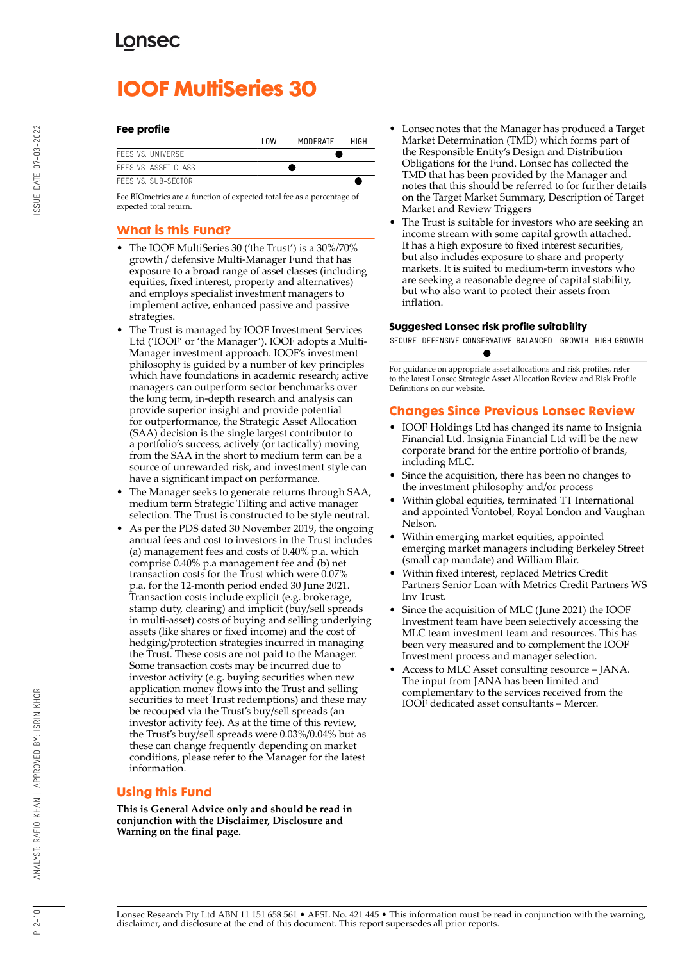# **IOOF MultiSeries 30**

#### **Fee profile**

|                      | l OW | MODERATE | HIGH |
|----------------------|------|----------|------|
| FFFS VS. UNIVERSE    |      |          |      |
| FFFS VS. ASSFT CLASS |      |          |      |
| FFFS VS. SUB-SFCTOR  |      |          |      |

Fee BIOmetrics are a function of expected total fee as a percentage of expected total return.

## **What is this Fund?**

- The IOOF MultiSeries 30 ('the Trust') is a 30%/70% growth / defensive Multi-Manager Fund that has exposure to a broad range of asset classes (including equities, fixed interest, property and alternatives) and employs specialist investment managers to implement active, enhanced passive and passive strategies.
- The Trust is managed by IOOF Investment Services Ltd ('IOOF' or 'the Manager'). IOOF adopts a Multi-Manager investment approach. IOOF's investment philosophy is guided by a number of key principles which have foundations in academic research; active managers can outperform sector benchmarks over the long term, in-depth research and analysis can provide superior insight and provide potential for outperformance, the Strategic Asset Allocation (SAA) decision is the single largest contributor to a portfolio's success, actively (or tactically) moving from the SAA in the short to medium term can be a source of unrewarded risk, and investment style can have a significant impact on performance.
- The Manager seeks to generate returns through SAA, medium term Strategic Tilting and active manager selection. The Trust is constructed to be style neutral.
- As per the PDS dated 30 November 2019, the ongoing annual fees and cost to investors in the Trust includes (a) management fees and costs of 0.40% p.a. which comprise 0.40% p.a management fee and (b) net transaction costs for the Trust which were 0.07% p.a. for the 12-month period ended 30 June 2021. Transaction costs include explicit (e.g. brokerage, stamp duty, clearing) and implicit (buy/sell spreads in multi-asset) costs of buying and selling underlying assets (like shares or fixed income) and the cost of hedging/protection strategies incurred in managing the Trust. These costs are not paid to the Manager. Some transaction costs may be incurred due to investor activity (e.g. buying securities when new application money flows into the Trust and selling securities to meet Trust redemptions) and these may be recouped via the Trust's buy/sell spreads (an investor activity fee). As at the time of this review, the Trust's buy/sell spreads were 0.03%/0.04% but as these can change frequently depending on market conditions, please refer to the Manager for the latest information.

## **Using this Fund**

**This is General Advice only and should be read in conjunction with the Disclaimer, Disclosure and Warning on the final page.**

- Lonsec notes that the Manager has produced a Target Market Determination (TMD) which forms part of the Responsible Entity's Design and Distribution Obligations for the Fund. Lonsec has collected the TMD that has been provided by the Manager and notes that this should be referred to for further details on the Target Market Summary, Description of Target Market and Review Triggers
- The Trust is suitable for investors who are seeking an income stream with some capital growth attached. It has a high exposure to fixed interest securities, but also includes exposure to share and property markets. It is suited to medium-term investors who are seeking a reasonable degree of capital stability, but who also want to protect their assets from inflation.

#### **Suggested Lonsec risk profile suitability**

SECURE DEFENSIVE CONSERVATIVE BALANCED GROWTH HIGH GROWTH

For guidance on appropriate asset allocations and risk profiles, refer to the latest Lonsec Strategic Asset Allocation Review and Risk Profile Definitions on our website.

## **Changes Since Previous Lonsec Review**

- IOOF Holdings Ltd has changed its name to Insignia Financial Ltd. Insignia Financial Ltd will be the new corporate brand for the entire portfolio of brands, including MLC.
- Since the acquisition, there has been no changes to the investment philosophy and/or process
- Within global equities, terminated TT International and appointed Vontobel, Royal London and Vaughan Nelson.
- Within emerging market equities, appointed emerging market managers including Berkeley Street (small cap mandate) and William Blair.
- Within fixed interest, replaced Metrics Credit Partners Senior Loan with Metrics Credit Partners WS Inv Trust.
- Since the acquisition of MLC (June 2021) the IOOF Investment team have been selectively accessing the MLC team investment team and resources. This has been very measured and to complement the IOOF Investment process and manager selection.
- Access to MLC Asset consulting resource JANA. The input from JANA has been limited and complementary to the services received from the IOOF dedicated asset consultants – Mercer.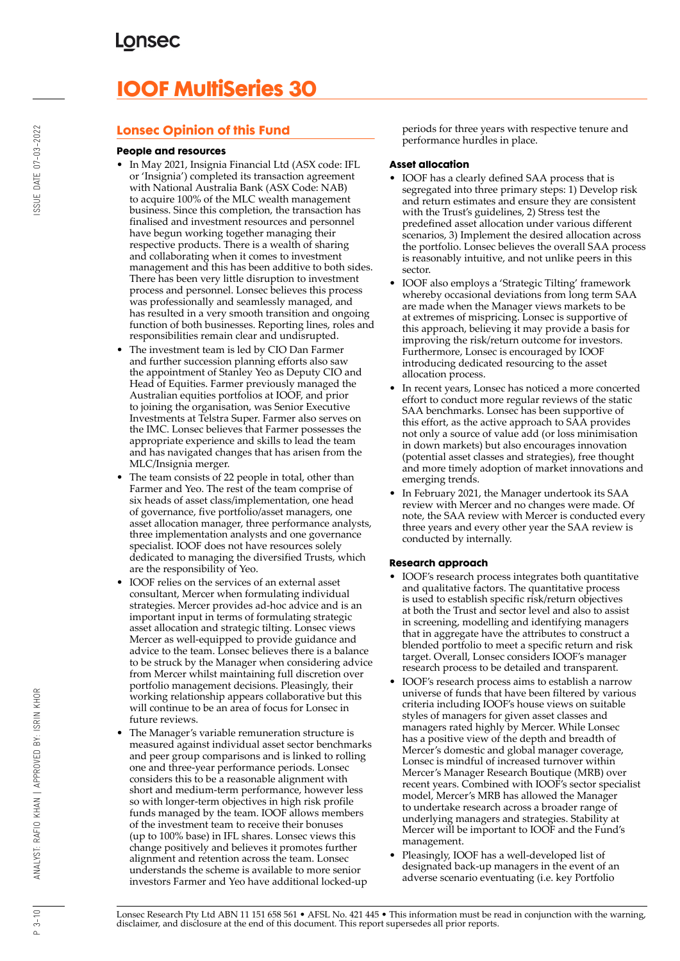# **IOOF MultiSeries 30**

## **Lonsec Opinion of this Fund**

#### **People and resources**

- In May 2021, Insignia Financial Ltd (ASX code: IFL or 'Insignia') completed its transaction agreement with National Australia Bank (ASX Code: NAB) to acquire 100% of the MLC wealth management business. Since this completion, the transaction has finalised and investment resources and personnel have begun working together managing their respective products. There is a wealth of sharing and collaborating when it comes to investment management and this has been additive to both sides. There has been very little disruption to investment process and personnel. Lonsec believes this process was professionally and seamlessly managed, and has resulted in a very smooth transition and ongoing function of both businesses. Reporting lines, roles and responsibilities remain clear and undisrupted.
- The investment team is led by CIO Dan Farmer and further succession planning efforts also saw the appointment of Stanley Yeo as Deputy CIO and Head of Equities. Farmer previously managed the Australian equities portfolios at IOOF, and prior to joining the organisation, was Senior Executive Investments at Telstra Super. Farmer also serves on the IMC. Lonsec believes that Farmer possesses the appropriate experience and skills to lead the team and has navigated changes that has arisen from the MLC/Insignia merger.
- The team consists of 22 people in total, other than Farmer and Yeo. The rest of the team comprise of six heads of asset class/implementation, one head of governance, five portfolio/asset managers, one asset allocation manager, three performance analysts, three implementation analysts and one governance specialist. IOOF does not have resources solely dedicated to managing the diversified Trusts, which are the responsibility of Yeo.
- IOOF relies on the services of an external asset consultant, Mercer when formulating individual strategies. Mercer provides ad-hoc advice and is an important input in terms of formulating strategic asset allocation and strategic tilting. Lonsec views Mercer as well-equipped to provide guidance and advice to the team. Lonsec believes there is a balance to be struck by the Manager when considering advice from Mercer whilst maintaining full discretion over portfolio management decisions. Pleasingly, their working relationship appears collaborative but this will continue to be an area of focus for Lonsec in future reviews.
- The Manager's variable remuneration structure is measured against individual asset sector benchmarks and peer group comparisons and is linked to rolling one and three-year performance periods. Lonsec considers this to be a reasonable alignment with short and medium-term performance, however less so with longer-term objectives in high risk profile funds managed by the team. IOOF allows members of the investment team to receive their bonuses (up to 100% base) in IFL shares. Lonsec views this change positively and believes it promotes further alignment and retention across the team. Lonsec understands the scheme is available to more senior investors Farmer and Yeo have additional locked-up

periods for three years with respective tenure and performance hurdles in place.

#### **Asset allocation**

- IOOF has a clearly defined SAA process that is segregated into three primary steps: 1) Develop risk and return estimates and ensure they are consistent with the Trust's guidelines, 2) Stress test the predefined asset allocation under various different scenarios, 3) Implement the desired allocation across the portfolio. Lonsec believes the overall SAA process is reasonably intuitive, and not unlike peers in this sector.
- IOOF also employs a 'Strategic Tilting' framework whereby occasional deviations from long term SAA are made when the Manager views markets to be at extremes of mispricing. Lonsec is supportive of this approach, believing it may provide a basis for improving the risk/return outcome for investors. Furthermore, Lonsec is encouraged by IOOF introducing dedicated resourcing to the asset allocation process.
- In recent years, Lonsec has noticed a more concerted effort to conduct more regular reviews of the static SAA benchmarks. Lonsec has been supportive of this effort, as the active approach to SAA provides not only a source of value add (or loss minimisation in down markets) but also encourages innovation (potential asset classes and strategies), free thought and more timely adoption of market innovations and emerging trends.
- In February 2021, the Manager undertook its SAA review with Mercer and no changes were made. Of note, the SAA review with Mercer is conducted every three years and every other year the SAA review is conducted by internally.

## **Research approach**

- IOOF's research process integrates both quantitative and qualitative factors. The quantitative process is used to establish specific risk/return objectives at both the Trust and sector level and also to assist in screening, modelling and identifying managers that in aggregate have the attributes to construct a blended portfolio to meet a specific return and risk target. Overall, Lonsec considers IOOF's manager research process to be detailed and transparent.
- IOOF's research process aims to establish a narrow universe of funds that have been filtered by various criteria including IOOF's house views on suitable styles of managers for given asset classes and managers rated highly by Mercer. While Lonsec has a positive view of the depth and breadth of Mercer's domestic and global manager coverage, Lonsec is mindful of increased turnover within Mercer's Manager Research Boutique (MRB) over recent years. Combined with IOOF's sector specialist model, Mercer's MRB has allowed the Manager to undertake research across a broader range of underlying managers and strategies. Stability at Mercer will be important to IOOF and the Fund's management.
- Pleasingly, IOOF has a well-developed list of designated back-up managers in the event of an adverse scenario eventuating (i.e. key Portfolio

 $P_3 - 10$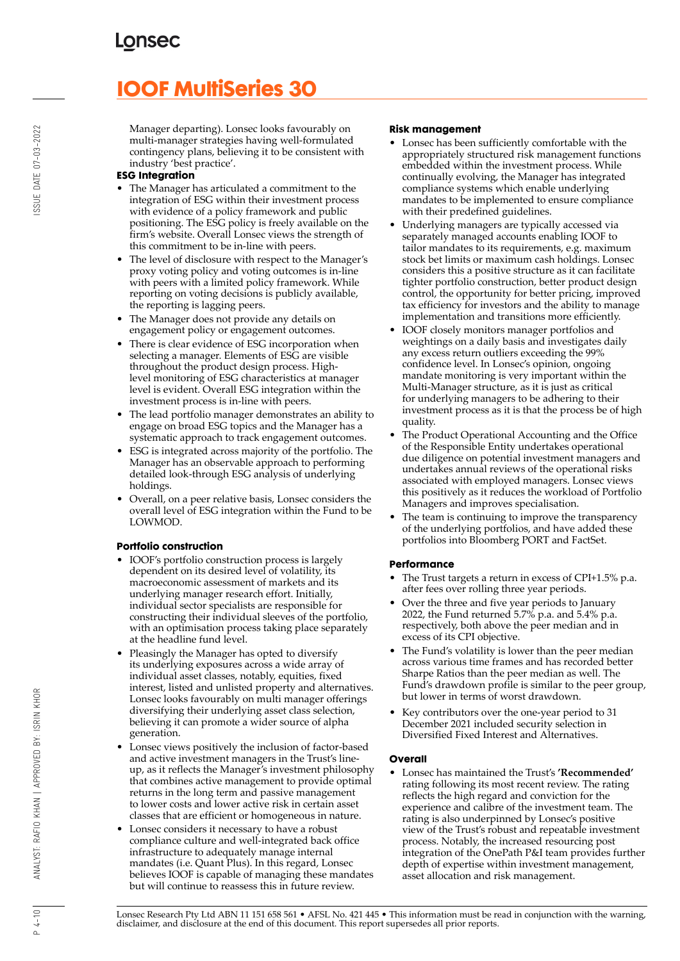# **IOOF MultiSeries 30**

Manager departing). Lonsec looks favourably on multi-manager strategies having well-formulated contingency plans, believing it to be consistent with industry 'best practice'.

## **ESG Integration**

- The Manager has articulated a commitment to the integration of ESG within their investment process with evidence of a policy framework and public positioning. The ESG policy is freely available on the firm's website. Overall Lonsec views the strength of this commitment to be in-line with peers.
- The level of disclosure with respect to the Manager's proxy voting policy and voting outcomes is in-line with peers with a limited policy framework. While reporting on voting decisions is publicly available, the reporting is lagging peers.
- The Manager does not provide any details on engagement policy or engagement outcomes.
- There is clear evidence of ESG incorporation when selecting a manager. Elements of ESG are visible throughout the product design process. Highlevel monitoring of ESG characteristics at manager level is evident. Overall ESG integration within the investment process is in-line with peers.
- The lead portfolio manager demonstrates an ability to engage on broad ESG topics and the Manager has a systematic approach to track engagement outcomes.
- ESG is integrated across majority of the portfolio. The Manager has an observable approach to performing detailed look-through ESG analysis of underlying holdings.
- Overall, on a peer relative basis, Lonsec considers the overall level of ESG integration within the Fund to be LOWMOD.

## **Portfolio construction**

- IOOF's portfolio construction process is largely dependent on its desired level of volatility, its macroeconomic assessment of markets and its underlying manager research effort. Initially, individual sector specialists are responsible for constructing their individual sleeves of the portfolio, with an optimisation process taking place separately at the headline fund level.
- Pleasingly the Manager has opted to diversify its underlying exposures across a wide array of individual asset classes, notably, equities, fixed interest, listed and unlisted property and alternatives. Lonsec looks favourably on multi manager offerings diversifying their underlying asset class selection, believing it can promote a wider source of alpha generation.
- Lonsec views positively the inclusion of factor-based and active investment managers in the Trust's lineup, as it reflects the Manager's investment philosophy that combines active management to provide optimal returns in the long term and passive management to lower costs and lower active risk in certain asset classes that are efficient or homogeneous in nature.
- Lonsec considers it necessary to have a robust compliance culture and well-integrated back office infrastructure to adequately manage internal mandates (i.e. Quant Plus). In this regard, Lonsec believes IOOF is capable of managing these mandates but will continue to reassess this in future review.

#### **Risk management**

- Lonsec has been sufficiently comfortable with the appropriately structured risk management functions embedded within the investment process. While continually evolving, the Manager has integrated compliance systems which enable underlying mandates to be implemented to ensure compliance with their predefined guidelines.
- Underlying managers are typically accessed via separately managed accounts enabling IOOF to tailor mandates to its requirements, e.g. maximum stock bet limits or maximum cash holdings. Lonsec considers this a positive structure as it can facilitate tighter portfolio construction, better product design control, the opportunity for better pricing, improved tax efficiency for investors and the ability to manage implementation and transitions more efficiently.
- IOOF closely monitors manager portfolios and weightings on a daily basis and investigates daily any excess return outliers exceeding the 99% confidence level. In Lonsec's opinion, ongoing mandate monitoring is very important within the Multi-Manager structure, as it is just as critical for underlying managers to be adhering to their investment process as it is that the process be of high quality.
- The Product Operational Accounting and the Office of the Responsible Entity undertakes operational due diligence on potential investment managers and undertakes annual reviews of the operational risks associated with employed managers. Lonsec views this positively as it reduces the workload of Portfolio Managers and improves specialisation.
- The team is continuing to improve the transparency of the underlying portfolios, and have added these portfolios into Bloomberg PORT and FactSet.

## **Performance**

- The Trust targets a return in excess of CPI+1.5% p.a. after fees over rolling three year periods.
- Over the three and five year periods to January 2022, the Fund returned 5.7% p.a. and 5.4% p.a. respectively, both above the peer median and in excess of its CPI objective.
- The Fund's volatility is lower than the peer median across various time frames and has recorded better Sharpe Ratios than the peer median as well. The Fund's drawdown profile is similar to the peer group, but lower in terms of worst drawdown.
- Key contributors over the one-year period to 31 December 2021 included security selection in Diversified Fixed Interest and Alternatives.

## **Overall**

• Lonsec has maintained the Trust's **'Recommended'** rating following its most recent review. The rating reflects the high regard and conviction for the experience and calibre of the investment team. The rating is also underpinned by Lonsec's positive view of the Trust's robust and repeatable investment process. Notably, the increased resourcing post integration of the OnePath P&I team provides further depth of expertise within investment management, asset allocation and risk management.

Lonsec Research Pty Ltd ABN 11 151 658 561 • AFSL No. 421 445 • This information must be read in conjunction with the warning, disclaimer, and disclosure at the end of this document. This report supersedes all prior reports.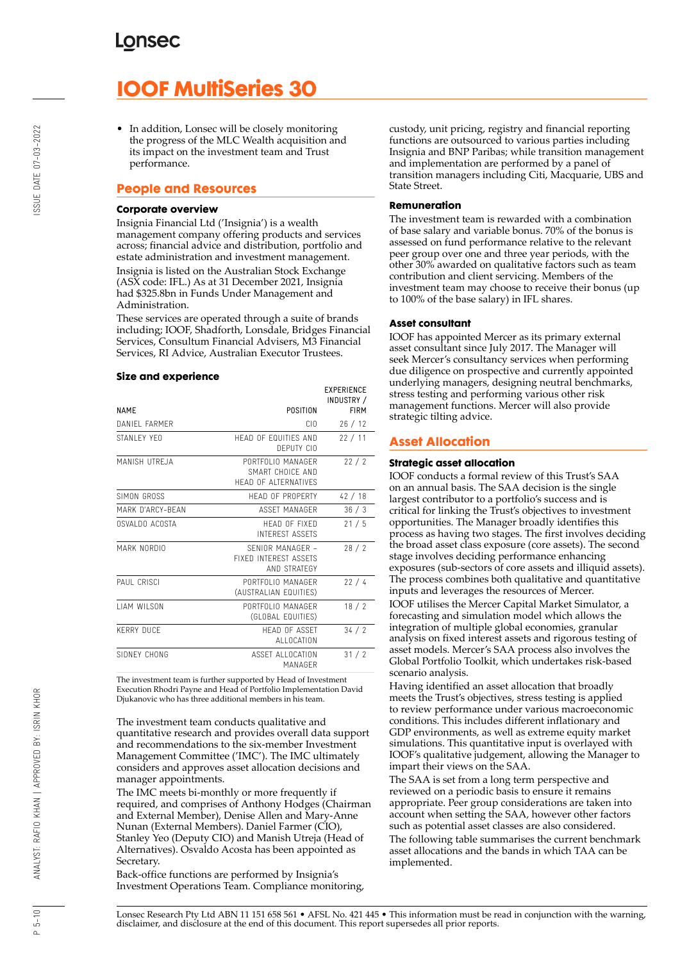# **IOOF MultiSeries 30**

• In addition, Lonsec will be closely monitoring the progress of the MLC Wealth acquisition and its impact on the investment team and Trust performance.

## **People and Resources**

#### **Corporate overview**

Insignia Financial Ltd ('Insignia') is a wealth management company offering products and services across; financial advice and distribution, portfolio and estate administration and investment management. Insignia is listed on the Australian Stock Exchange (ASX code: IFL.) As at 31 December 2021, Insignia had \$325.8bn in Funds Under Management and Administration.

These services are operated through a suite of brands including; IOOF, Shadforth, Lonsdale, Bridges Financial Services, Consultum Financial Advisers, M3 Financial Services, RI Advice, Australian Executor Trustees.

#### **Size and experience**

|                     |                                                                      | <b>EXPERIENCE</b><br>INDUSTRY / |
|---------------------|----------------------------------------------------------------------|---------------------------------|
| <b>NAME</b>         | POSITION                                                             | <b>FIRM</b>                     |
| DANIFI FARMER       | CIO.                                                                 | 26/12                           |
| STANI FY YFO        | HEAD OF FOUITIES AND<br>DEPUTY CIO                                   | 22/11                           |
| MANISH UTREJA       | PORTEOLIO MANAGER<br>SMART CHOICF AND<br><b>HEAD OF ALTERNATIVES</b> | 22/2                            |
| SIMON GROSS         | HEAD OF PROPERTY                                                     | 42/18                           |
| MARK D'ARCY-BFAN    | ASSFT MANAGER                                                        | 36/3                            |
| OSVALDO ACOSTA      | HFAD OF FIXED<br><b>INTEREST ASSETS</b>                              | 21/5                            |
| MARK NORDIO         | SENIOR MANAGER -<br><b>FIXED INTEREST ASSETS</b><br>AND STRATEGY     | 28/2                            |
| PAUL CRISCI         | PORTFOLIO MANAGER<br>(AUSTRALIAN EQUITIES)                           | 22/4                            |
| <b>I IAM WILSON</b> | PORTFOLIO MANAGER<br>(GLOBAL EQUITIES)                               | 18/2                            |
| <b>KERRY DUCF</b>   | <b>HFAD OF ASSFT</b><br>ALLOCATION                                   | 34/2                            |
| SIDNEY CHONG        | ASSET ALLOCATION<br>MANAGFR                                          | 31/2                            |

The investment team is further supported by Head of Investment Execution Rhodri Payne and Head of Portfolio Implementation David Djukanovic who has three additional members in his team.

The investment team conducts qualitative and quantitative research and provides overall data support and recommendations to the six-member Investment Management Committee ('IMC'). The IMC ultimately considers and approves asset allocation decisions and manager appointments.

The IMC meets bi-monthly or more frequently if required, and comprises of Anthony Hodges (Chairman and External Member), Denise Allen and Mary-Anne Nunan (External Members). Daniel Farmer (CIO), Stanley Yeo (Deputy CIO) and Manish Utreja (Head of Alternatives). Osvaldo Acosta has been appointed as Secretary.

Back-office functions are performed by Insignia's Investment Operations Team. Compliance monitoring, custody, unit pricing, registry and financial reporting functions are outsourced to various parties including Insignia and BNP Paribas; while transition management and implementation are performed by a panel of transition managers including Citi, Macquarie, UBS and State Street.

#### **Remuneration**

The investment team is rewarded with a combination of base salary and variable bonus. 70% of the bonus is assessed on fund performance relative to the relevant peer group over one and three year periods, with the other 30% awarded on qualitative factors such as team contribution and client servicing. Members of the investment team may choose to receive their bonus (up to 100% of the base salary) in IFL shares.

#### **Asset consultant**

IOOF has appointed Mercer as its primary external asset consultant since July 2017. The Manager will seek Mercer's consultancy services when performing due diligence on prospective and currently appointed underlying managers, designing neutral benchmarks, stress testing and performing various other risk management functions. Mercer will also provide strategic tilting advice.

## **Asset Allocation**

#### **Strategic asset allocation**

IOOF conducts a formal review of this Trust's SAA on an annual basis. The SAA decision is the single largest contributor to a portfolio's success and is critical for linking the Trust's objectives to investment opportunities. The Manager broadly identifies this process as having two stages. The first involves deciding the broad asset class exposure (core assets). The second stage involves deciding performance enhancing exposures (sub-sectors of core assets and illiquid assets). The process combines both qualitative and quantitative inputs and leverages the resources of Mercer.

IOOF utilises the Mercer Capital Market Simulator, a forecasting and simulation model which allows the integration of multiple global economies, granular analysis on fixed interest assets and rigorous testing of asset models. Mercer's SAA process also involves the Global Portfolio Toolkit, which undertakes risk-based scenario analysis.

Having identified an asset allocation that broadly meets the Trust's objectives, stress testing is applied to review performance under various macroeconomic conditions. This includes different inflationary and GDP environments, as well as extreme equity market simulations. This quantitative input is overlayed with IOOF's qualitative judgement, allowing the Manager to impart their views on the SAA.

The SAA is set from a long term perspective and reviewed on a periodic basis to ensure it remains appropriate. Peer group considerations are taken into account when setting the SAA, however other factors such as potential asset classes are also considered. The following table summarises the current benchmark asset allocations and the bands in which TAA can be implemented.

Lonsec Research Pty Ltd ABN 11 151 658 561 • AFSL No. 421 445 • This information must be read in conjunction with the warning, disclaimer, and disclosure at the end of this document. This report supersedes all prior reports.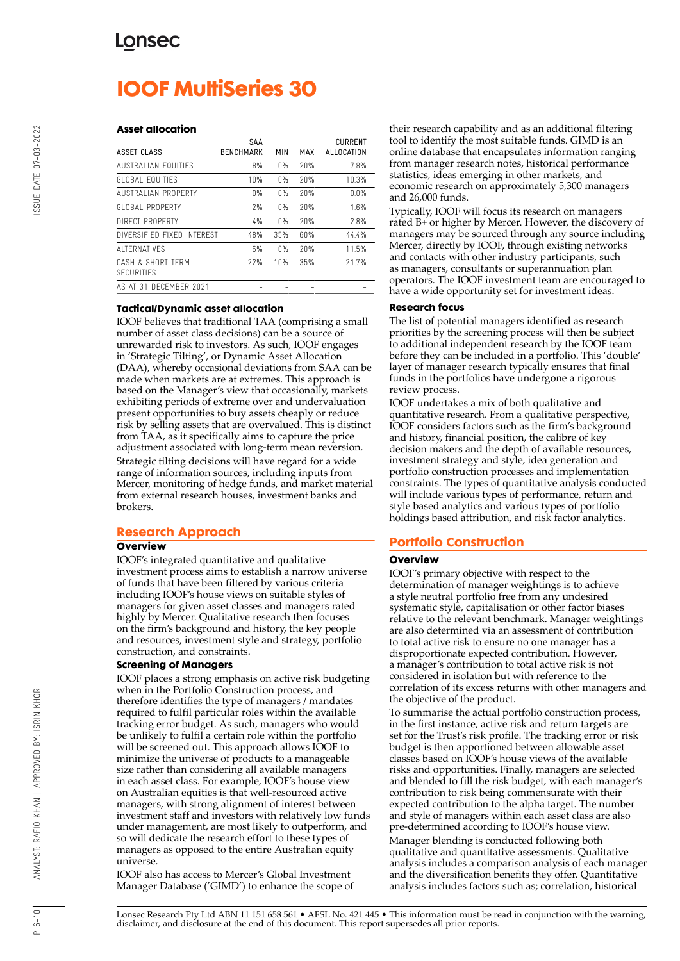# **IOOF MultiSeries 30**

#### **Asset allocation**

| ASSET CLASS                            | SAA<br><b>BENCHMARK</b> | MIN   | MAX | <b>CURRENT</b><br>ALLOCATION |
|----------------------------------------|-------------------------|-------|-----|------------------------------|
| AUSTRALIAN FOUITIES                    | 8%                      | $0\%$ | 20% | 7.8%                         |
| <b>GLOBAL EQUITIES</b>                 | 10%                     | 0%    | 20% | 10.3%                        |
| AUSTRALIAN PROPERTY                    | 0%                      | $0\%$ | 20% | 0.0%                         |
| GLOBAL PROPERTY                        | 7%                      | 0%    | 20% | 1.6%                         |
| DIRECT PROPERTY                        | 4%                      | 0%    | 20% | 2.8%                         |
| DIVERSIFIED FIXED INTEREST             | 48%                     | 35%   | 60% | 44.4%                        |
| ALTERNATIVES                           | 6%                      | 0%    | 20% | 11.5%                        |
| CASH & SHORT-TERM<br><b>SECURITIES</b> | 22%                     | 10%   | 35% | 21.7%                        |
| AS AT 31 DECEMBER 2021                 |                         |       |     |                              |

#### **Tactical/Dynamic asset allocation**

IOOF believes that traditional TAA (comprising a small number of asset class decisions) can be a source of unrewarded risk to investors. As such, IOOF engages in 'Strategic Tilting', or Dynamic Asset Allocation (DAA), whereby occasional deviations from SAA can be made when markets are at extremes. This approach is based on the Manager's view that occasionally, markets exhibiting periods of extreme over and undervaluation present opportunities to buy assets cheaply or reduce risk by selling assets that are overvalued. This is distinct from TAA, as it specifically aims to capture the price adjustment associated with long-term mean reversion. Strategic tilting decisions will have regard for a wide range of information sources, including inputs from Mercer, monitoring of hedge funds, and market material from external research houses, investment banks and brokers.

## **Research Approach**

#### **Overview**

IOOF's integrated quantitative and qualitative investment process aims to establish a narrow universe of funds that have been filtered by various criteria including IOOF's house views on suitable styles of managers for given asset classes and managers rated highly by Mercer. Qualitative research then focuses on the firm's background and history, the key people and resources, investment style and strategy, portfolio construction, and constraints.

#### **Screening of Managers**

IOOF places a strong emphasis on active risk budgeting when in the Portfolio Construction process, and therefore identifies the type of managers / mandates required to fulfil particular roles within the available tracking error budget. As such, managers who would be unlikely to fulfil a certain role within the portfolio will be screened out. This approach allows IOOF to minimize the universe of products to a manageable size rather than considering all available managers in each asset class. For example, IOOF's house view on Australian equities is that well-resourced active managers, with strong alignment of interest between investment staff and investors with relatively low funds under management, are most likely to outperform, and so will dedicate the research effort to these types of managers as opposed to the entire Australian equity universe.

IOOF also has access to Mercer's Global Investment Manager Database ('GIMD') to enhance the scope of their research capability and as an additional filtering tool to identify the most suitable funds. GIMD is an online database that encapsulates information ranging from manager research notes, historical performance statistics, ideas emerging in other markets, and economic research on approximately 5,300 managers and 26,000 funds.

Typically, IOOF will focus its research on managers rated B+ or higher by Mercer. However, the discovery of managers may be sourced through any source including Mercer, directly by IOOF, through existing networks and contacts with other industry participants, such as managers, consultants or superannuation plan operators. The IOOF investment team are encouraged to have a wide opportunity set for investment ideas.

#### **Research focus**

The list of potential managers identified as research priorities by the screening process will then be subject to additional independent research by the IOOF team before they can be included in a portfolio. This 'double' layer of manager research typically ensures that final funds in the portfolios have undergone a rigorous review process.

IOOF undertakes a mix of both qualitative and quantitative research. From a qualitative perspective, IOOF considers factors such as the firm's background and history, financial position, the calibre of key decision makers and the depth of available resources, investment strategy and style, idea generation and portfolio construction processes and implementation constraints. The types of quantitative analysis conducted will include various types of performance, return and style based analytics and various types of portfolio holdings based attribution, and risk factor analytics.

## **Portfolio Construction**

#### **Overview**

IOOF's primary objective with respect to the determination of manager weightings is to achieve a style neutral portfolio free from any undesired systematic style, capitalisation or other factor biases relative to the relevant benchmark. Manager weightings are also determined via an assessment of contribution to total active risk to ensure no one manager has a disproportionate expected contribution. However, a manager's contribution to total active risk is not considered in isolation but with reference to the correlation of its excess returns with other managers and the objective of the product.

To summarise the actual portfolio construction process, in the first instance, active risk and return targets are set for the Trust's risk profile. The tracking error or risk budget is then apportioned between allowable asset classes based on IOOF's house views of the available risks and opportunities. Finally, managers are selected and blended to fill the risk budget, with each manager's contribution to risk being commensurate with their expected contribution to the alpha target. The number and style of managers within each asset class are also pre-determined according to IOOF's house view.

Manager blending is conducted following both qualitative and quantitative assessments. Qualitative analysis includes a comparison analysis of each manager and the diversification benefits they offer. Quantitative analysis includes factors such as; correlation, historical

 $P 6 - 10$ 

BY: ISRIN KHOR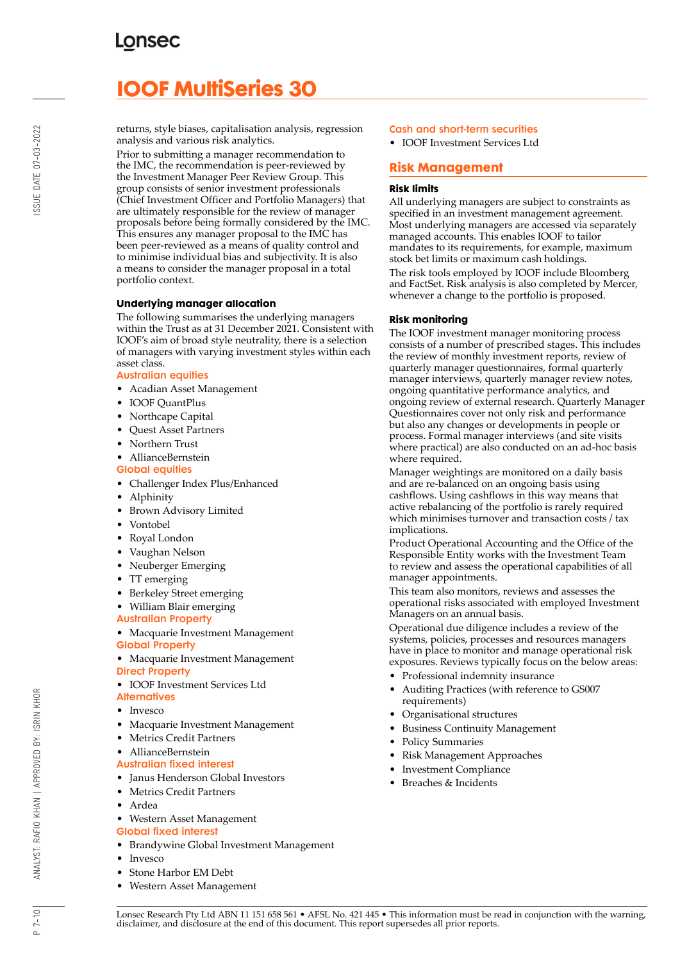# **IOOF MultiSeries 30**

returns, style biases, capitalisation analysis, regression analysis and various risk analytics.

Prior to submitting a manager recommendation to the IMC, the recommendation is peer-reviewed by the Investment Manager Peer Review Group. This group consists of senior investment professionals (Chief Investment Officer and Portfolio Managers) that are ultimately responsible for the review of manager proposals before being formally considered by the IMC. This ensures any manager proposal to the IMC has been peer-reviewed as a means of quality control and to minimise individual bias and subjectivity. It is also a means to consider the manager proposal in a total portfolio context.

## **Underlying manager allocation**

The following summarises the underlying managers within the Trust as at 31 December 2021. Consistent with IOOF's aim of broad style neutrality, there is a selection of managers with varying investment styles within each asset class.

#### Australian equities

- Acadian Asset Management
- IOOF QuantPlus
- Northcape Capital
- Quest Asset Partners
- Northern Trust
- AllianceBernstein
- Global equities
- Challenger Index Plus/Enhanced
- Alphinity
- Brown Advisory Limited
- Vontobel
- Royal London
- Vaughan Nelson
- Neuberger Emerging
- TT emerging
- Berkeley Street emerging
- William Blair emerging
- Australian Property

• Macquarie Investment Management Global Property

- Macquarie Investment Management Direct Property
- IOOF Investment Services Ltd
- **Alternatives**
- **Invesco**
- Macquarie Investment Management
- Metrics Credit Partners
- AllianceBernstein

## Australian fixed interest

- Janus Henderson Global Investors
- Metrics Credit Partners
- Ardea

#### • Western Asset Management Global fixed interest

- Brandywine Global Investment Management
- Invesco
- Stone Harbor EM Debt
- Western Asset Management

## Cash and short-term securities

• IOOF Investment Services Ltd

## **Risk Management**

## **Risk limits**

All underlying managers are subject to constraints as specified in an investment management agreement. Most underlying managers are accessed via separately managed accounts. This enables IOOF to tailor mandates to its requirements, for example, maximum stock bet limits or maximum cash holdings.

The risk tools employed by IOOF include Bloomberg and FactSet. Risk analysis is also completed by Mercer, whenever a change to the portfolio is proposed.

#### **Risk monitoring**

The IOOF investment manager monitoring process consists of a number of prescribed stages. This includes the review of monthly investment reports, review of quarterly manager questionnaires, formal quarterly manager interviews, quarterly manager review notes, ongoing quantitative performance analytics, and ongoing review of external research. Quarterly Manager Questionnaires cover not only risk and performance but also any changes or developments in people or process. Formal manager interviews (and site visits where practical) are also conducted on an ad-hoc basis where required.

Manager weightings are monitored on a daily basis and are re-balanced on an ongoing basis using cashflows. Using cashflows in this way means that active rebalancing of the portfolio is rarely required which minimises turnover and transaction costs / tax implications.

Product Operational Accounting and the Office of the Responsible Entity works with the Investment Team to review and assess the operational capabilities of all manager appointments.

This team also monitors, reviews and assesses the operational risks associated with employed Investment Managers on an annual basis.

Operational due diligence includes a review of the systems, policies, processes and resources managers have in place to monitor and manage operational risk exposures. Reviews typically focus on the below areas:

- Professional indemnity insurance
- Auditing Practices (with reference to GS007 requirements)
- Organisational structures
- Business Continuity Management
- Policy Summaries
- Risk Management Approaches
- Investment Compliance
- Breaches & Incidents

 $P 7 - 10$ 

BY: ISRIN KHOR

ANALYST: RAFIO KHAN | APPROVED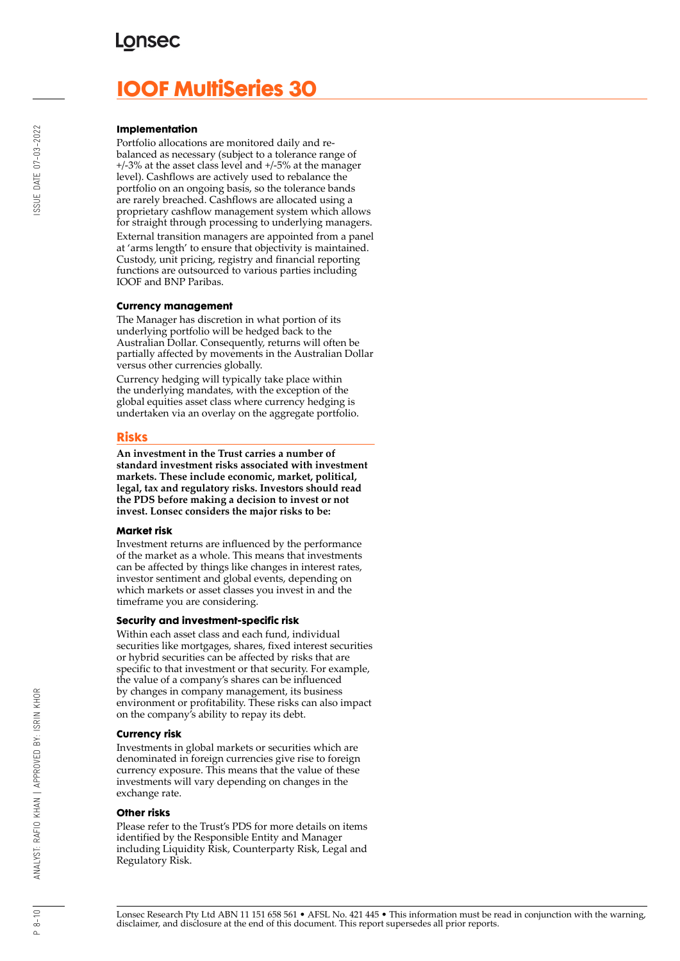## **LONSEC**

# **IOOF MultiSeries 30**

#### **Implementation**

Portfolio allocations are monitored daily and rebalanced as necessary (subject to a tolerance range of +/-3% at the asset class level and +/-5% at the manager level). Cashflows are actively used to rebalance the portfolio on an ongoing basis, so the tolerance bands are rarely breached. Cashflows are allocated using a proprietary cashflow management system which allows for straight through processing to underlying managers. External transition managers are appointed from a panel at 'arms length' to ensure that objectivity is maintained. Custody, unit pricing, registry and financial reporting functions are outsourced to various parties including IOOF and BNP Paribas.

#### **Currency management**

The Manager has discretion in what portion of its underlying portfolio will be hedged back to the Australian Dollar. Consequently, returns will often be partially affected by movements in the Australian Dollar versus other currencies globally.

Currency hedging will typically take place within the underlying mandates, with the exception of the global equities asset class where currency hedging is undertaken via an overlay on the aggregate portfolio.

#### **Risks**

**An investment in the Trust carries a number of standard investment risks associated with investment markets. These include economic, market, political, legal, tax and regulatory risks. Investors should read the PDS before making a decision to invest or not invest. Lonsec considers the major risks to be:**

#### **Market risk**

Investment returns are influenced by the performance of the market as a whole. This means that investments can be affected by things like changes in interest rates, investor sentiment and global events, depending on which markets or asset classes you invest in and the timeframe you are considering.

#### **Security and investment-specific risk**

Within each asset class and each fund, individual securities like mortgages, shares, fixed interest securities or hybrid securities can be affected by risks that are specific to that investment or that security. For example, the value of a company's shares can be influenced by changes in company management, its business environment or profitability. These risks can also impact on the company's ability to repay its debt.

#### **Currency risk**

Investments in global markets or securities which are denominated in foreign currencies give rise to foreign currency exposure. This means that the value of these investments will vary depending on changes in the exchange rate.

#### **Other risks**

Please refer to the Trust's PDS for more details on items identified by the Responsible Entity and Manager including Liquidity Risk, Counterparty Risk, Legal and Regulatory Risk.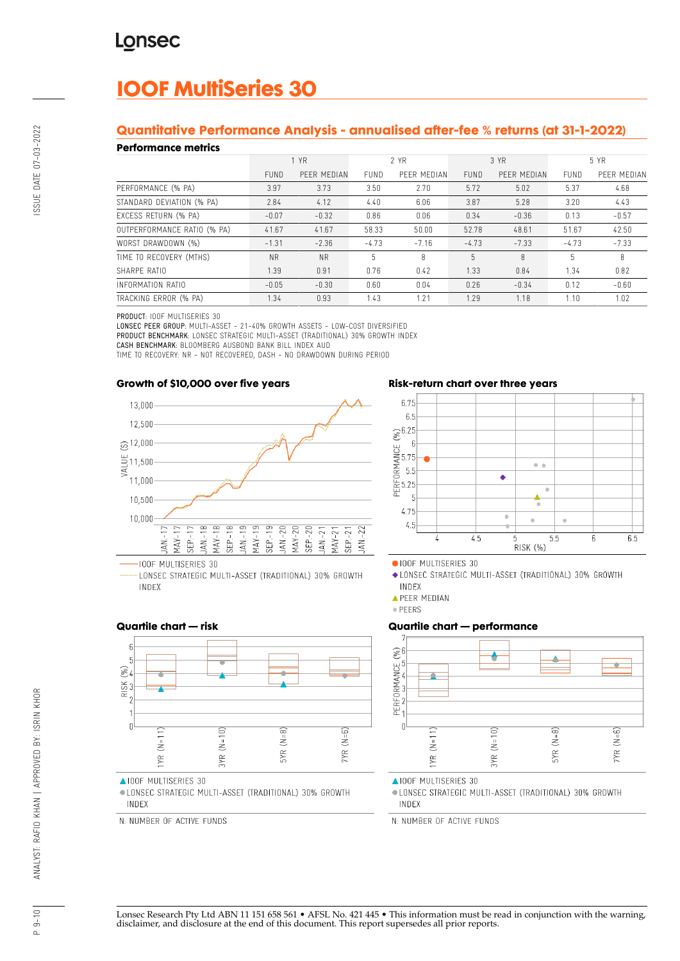# **IOOF MultiSeries 30**

## **Quantitative Performance Analysis - annualised after-fee % returns (at 31-1-2022)**

#### **Performance metrics**

| . YN SITTINISY MITHY        |             |             |             |             |             |             |         |             |
|-----------------------------|-------------|-------------|-------------|-------------|-------------|-------------|---------|-------------|
|                             | 1 YR        |             | 2 YR        |             | 3 YR        |             | 5 YR    |             |
|                             | <b>FUND</b> | PEER MEDIAN | <b>FUND</b> | PEER MEDIAN | <b>FUND</b> | PEER MEDIAN | FUND    | PEER MEDIAN |
| PERFORMANCE (% PA)          | 3.97        | 3.73        | 3.50        | 2.70        | 5.72        | 5.02        | 5.37    | 4.68        |
| STANDARD DEVIATION (% PA)   | 2.84        | 4.12        | 4.40        | 6.06        | 3.87        | 5.28        | 3.20    | 4.43        |
| EXCESS RETURN (% PA)        | $-0.07$     | $-0.32$     | 0.86        | 0.06        | 0.34        | $-0.36$     | 0.13    | $-0.57$     |
| OUTPERFORMANCE RATIO (% PA) | 41.67       | 41.67       | 58.33       | 50.00       | 52.78       | 48.61       | 51.67   | 42.50       |
| WORST DRAWDOWN (%)          | $-1.31$     | $-2.36$     | $-4.73$     | $-7.16$     | $-4.73$     | $-7.33$     | $-4.73$ | $-7.33$     |
| TIME TO RECOVERY (MTHS)     | <b>NR</b>   | <b>NR</b>   | 5           | 8           | 5           | 8           | 5       | 8           |
| SHARPF RATIO                | 1.39        | 0.91        | 0.76        | 0.42        | 1.33        | 0.84        | 1.34    | 0.82        |
| INFORMATION RATIO           | $-0.05$     | $-0.30$     | 0.60        | 0.04        | 0.26        | $-0.34$     | 0.12    | $-0.60$     |
| TRACKING ERROR (% PA)       | 1.34        | 0.93        | 1.43        | 1.21        | 1.29        | 1.18        | 1.10    | 1.02        |

PRODUCT: IOOF MULTISERIES 30

LONSEC PEER GROUP: MULTI-ASSET - 21-40% GROWTH ASSETS - LOW-COST DIVERSIFIED PRODUCT BENCHMARK: LONSEC STRATEGIC MULTI-ASSET (TRADITIONAL) 30% GROWTH INDEX CASH BENCHMARK: BLOOMBERG AUSBOND BANK BILL INDEX AUD

TIME TO RECOVERY: NR - NOT RECOVERED, DASH - NO DRAWDOWN DURING PERIOD

## **Growth of \$10,000 over five years**



LONSEC STRATEGIC MULTI-ASSET (TRADITIONAL) 30% GROWTH INDEX

## **Risk-return chart over three years**



OIOOF MULTISERIES 30

◆ LONSEC STRATEGIC MULTI-ASSET (TRADITIONAL) 30% GROWTH INDEX

**APEER MEDIAN** 

· PEERS

#### **Quartile chart — performance**



▲IOOF MULTISERIES 30

· LONSEC STRATEGIC MULTI-ASSET (TRADITIONAL) 30% GROWTH INDEX

N: NUMBER OF ACTIVE FUNDS

#### **Quartile chart — risk**



▲IOOF MULTISERIES 30

· LONSEC STRATEGIC MULTI-ASSET (TRADITIONAL) 30% GROWTH INDEX

N: NUMBER OF ACTIVE FUNDS

SSUE DATE 07-03-2022